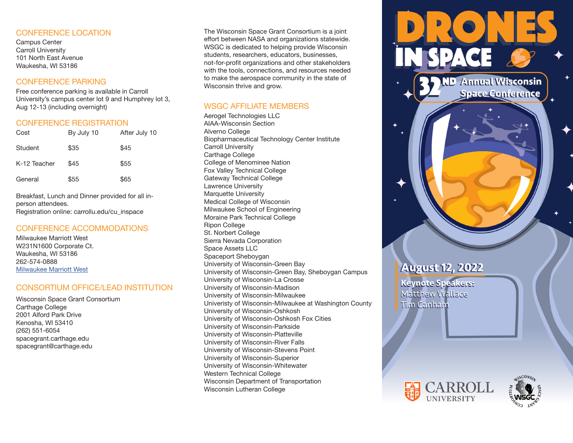#### CONFERENCE LOCATION

Campus Center Carroll University 101 North East Avenue Waukesha, WI 53186

### CONFERENCE PARKING

Free conference parking is available in Carroll University's campus center lot 9 and Humphrey lot 3, Aug 12-13 (including overnight)

## CONFERENCE REGISTRATION

| Cost         | By July 10 | After July 10 |
|--------------|------------|---------------|
| Student      | \$35       | \$45          |
| K-12 Teacher | \$45       | \$55          |
| General      | \$55       | \$65          |

Breakfast, Lunch and Dinner provided for all inperson attendees. Registration online: carrollu.edu/cu\_inspace

### CONFERENCE ACCOMMODATIONS

Milwaukee Marriott West W231N1600 Corporate Ct. Waukesha, WI 53186 262-574-0888 Milwaukee Marriott West

### CONSORTIUM OFFICE/LEAD INSTITUTION

Wisconsin Space Grant Consortium Carthage College 2001 Alford Park Drive Kenosha, WI 53410 (262) 551-6054 spacegrant.carthage.edu spacegrant@carthage.edu

The Wisconsin Space Grant Consortium is a joint effort between NASA and organizations statewide. WSGC is dedicated to helping provide Wisconsin students, researchers, educators, businesses, not-for-profit organizations and other stakeholders with the tools, connections, and resources needed to make the aerospace community in the state of Wisconsin thrive and grow.

# WSGC AFFILIATE MEMBERS

Aerogel Technologies LLC AIAA-Wisconsin Section Alverno College Biopharmaceutical Technology Center Institute Carroll University Carthage College College of Menominee Nation Fox Valley Technical College Gateway Technical College Lawrence University Marquette University Medical College of Wisconsin Milwaukee School of Engineering Moraine Park Technical College Ripon College St. Norbert College Sierra Nevada Corporation Space Assets LLC Spaceport Sheboygan University of Wisconsin-Green Bay University of Wisconsin-Green Bay, Sheboygan Campus University of Wisconsin-La Crosse University of Wisconsin-Madison University of Wisconsin-Milwaukee Univeristy of Wisconsin-Milwaukee at Washington County University of Wisconsin-Oshkosh University of Wisconsin-Oshkosh Fox Cities University of Wisconsin-Parkside University of Wisconsin-Platteville University of Wisconsin-River Falls University of Wisconsin-Stevens Point University of Wisconsin-Superior University of Wisconsin-Whitewater Western Technical College Wisconsin Department of Transportation Wisconsin Lutheran College



**ND** Annual Wisconsin **Space Conference** 

# **August 12, 2022**

Keynote Speakers: Matthew Wallace **Tim Canham**